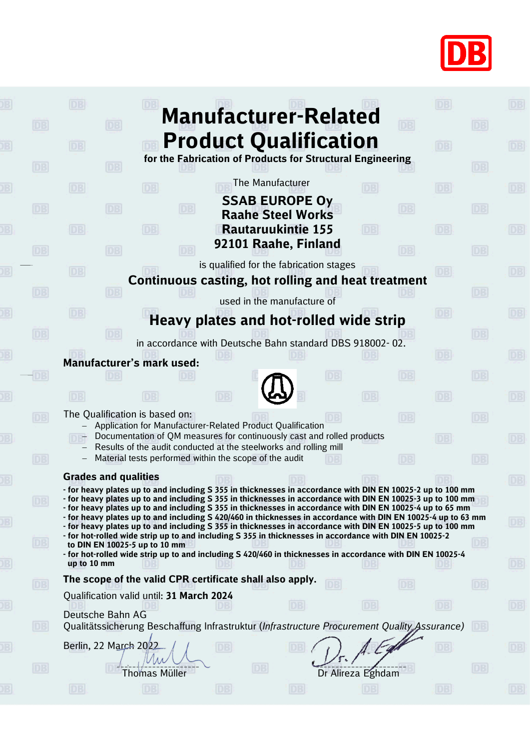

|           | 03<br><b>Manufacturer-Related</b>                                                                                                                                                                                           |                 |           |
|-----------|-----------------------------------------------------------------------------------------------------------------------------------------------------------------------------------------------------------------------------|-----------------|-----------|
| DB        | DB                                                                                                                                                                                                                          | DB              |           |
|           | <b>Product Qualification</b><br><b>DB</b>                                                                                                                                                                                   | DB <sub>1</sub> | D3        |
| DB        | for the Fabrication of Products for Structural Engineering<br>DB                                                                                                                                                            | DB              |           |
|           | The Manufacturer<br><b>DB</b><br>DB<br>DB                                                                                                                                                                                   | DB              | DB        |
| <b>DB</b> | <b>SSAB EUROPE Oy</b><br><b>DB</b><br>DB<br>DB.                                                                                                                                                                             | DB              |           |
|           | <b>Raahe Steel Works</b>                                                                                                                                                                                                    |                 |           |
|           | <b>Rautaruukintie 155</b><br>DB<br>DB<br>DB<br>92101 Raahe, Finland                                                                                                                                                         | DB              | DB        |
| DB        | DB<br>DB                                                                                                                                                                                                                    | DB              |           |
|           | is qualified for the fabrication stages<br><b>DB</b><br>Continuous casting, hot rolling and heat treatment                                                                                                                  | DBI             | DB        |
| <b>DB</b> |                                                                                                                                                                                                                             | DB              |           |
|           | used in the manufacture of<br><b>DB</b>                                                                                                                                                                                     | DB              | DB        |
|           | Heavy plates and hot-rolled wide strip                                                                                                                                                                                      |                 |           |
| DB        | in accordance with Deutsche Bahn standard DBS 918002-02.                                                                                                                                                                    | DB              |           |
|           | Manufacturer's mark used:                                                                                                                                                                                                   | DB              | DB        |
|           | DB<br>DB                                                                                                                                                                                                                    | DB              |           |
|           | DB<br>$\Box$                                                                                                                                                                                                                | DBI             | DB        |
| ĐB        | The Qualification is based on:<br>DB                                                                                                                                                                                        | <b>DB</b>       |           |
|           | Application for Manufacturer-Related Product Qualification<br>Documentation of QM measures for continuously cast and rolled products                                                                                        | DB.             | DB.       |
|           | Results of the audit conducted at the steelworks and rolling mill                                                                                                                                                           |                 |           |
| DB        | Material tests performed within the scope of the audit<br>DB                                                                                                                                                                | DB              |           |
|           | <b>Grades and qualities</b><br>- for heavy plates up to and including S 355 in thicknesses in accordance with DIN EN 10025-2 up to 100 mm                                                                                   |                 |           |
| DB        | - for heavy plates up to and including S 355 in thicknesses in accordance with DIN EN 10025-3 up to 100 mm<br>- for heavy plates up to and including S 355 in thicknesses in accordance with DIN EN 10025-4 up to 65 mm     |                 |           |
|           | - for heavy plates up to and including S 420/460 in thicknesses in accordance with DIN EN 10025-4 up to 63 mm<br>- for heavy plates up to and including S 355 in thicknesses in accordance with DIN EN 10025-5 up to 100 mm |                 | DB)       |
| <b>DB</b> | - for hot-rolled wide strip up to and including S 355 in thicknesses in accordance with DIN EN 10025-2                                                                                                                      | DB              |           |
|           | to DIN EN 10025-5 up to 10 mm<br>- for hot-rolled wide strip up to and including S 420/460 in thicknesses in accordance with DIN EN 10025-4                                                                                 |                 |           |
|           | up to 10 mm<br>The scope of the valid CPR certificate shall also apply.                                                                                                                                                     |                 | DB.       |
| DB        | <b>DB</b><br>DBI<br>Qualification valid until: 31 March 2024                                                                                                                                                                | DB              |           |
|           | <b>DB</b><br>DB<br>Deutsche Bahn AG                                                                                                                                                                                         | DB              | DB        |
| DB        | Qualitätssicherung Beschaffung Infrastruktur (Infrastructure Procurement Quality Assurance)                                                                                                                                 | $DB$            |           |
|           | Berlin, 22 March 2022<br>DB<br>DB                                                                                                                                                                                           |                 | [DE]      |
| DB        | DB                                                                                                                                                                                                                          | DB              |           |
|           | Dr Alireza Eghdam<br><b>Thomas Müller</b>                                                                                                                                                                                   |                 |           |
|           | DB<br><b>DB</b><br>DB.<br>DB                                                                                                                                                                                                | DB              | <b>DB</b> |
|           |                                                                                                                                                                                                                             |                 |           |